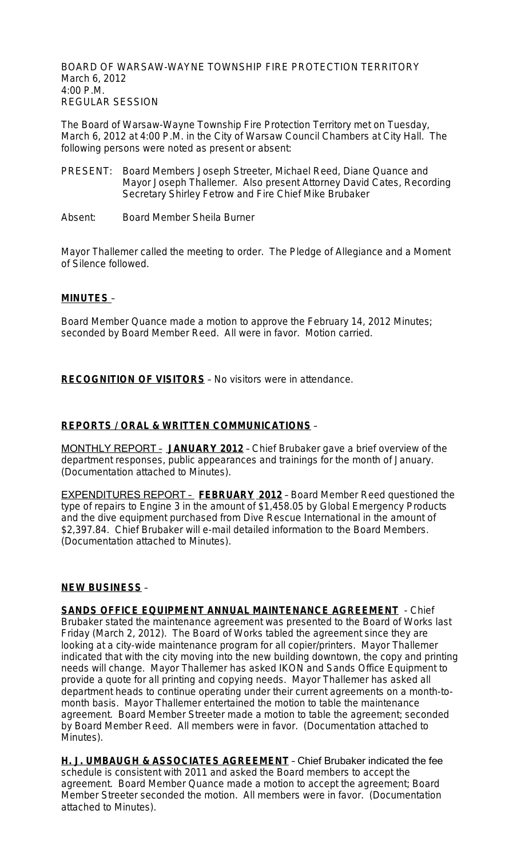BOARD OF WARSAW-WAYNE TOWNSHIP FIRE PROTECTION TERRITORY March 6, 2012 4:00 P.M. REGULAR SESSION

The Board of Warsaw-Wayne Township Fire Protection Territory met on Tuesday, March 6, 2012 at 4:00 P.M. in the City of Warsaw Council Chambers at City Hall. The following persons were noted as present or absent:

- PRESENT: Board Members Joseph Streeter, Michael Reed, Diane Quance and Mayor Joseph Thallemer. Also present Attorney David Cates, Recording Secretary Shirley Fetrow and Fire Chief Mike Brubaker
- Absent: Board Member Sheila Burner

Mayor Thallemer called the meeting to order. The Pledge of Allegiance and a Moment of Silence followed.

#### **MINUTES** –

Board Member Quance made a motion to approve the February 14, 2012 Minutes; seconded by Board Member Reed. All were in favor. Motion carried.

**RECOGNITION OF VISITORS** – No visitors were in attendance.

### **REPORTS / ORAL & WRITTEN COMMUNICATIONS** –

MONTHLY REPORT – **JANUARY 2012** – Chief Brubaker gave a brief overview of the department responses, public appearances and trainings for the month of January. (Documentation attached to Minutes).

EXPENDITURES REPORT – **FEBRUARY 2012** – Board Member Reed questioned the type of repairs to Engine 3 in the amount of \$1,458.05 by Global Emergency Products and the dive equipment purchased from Dive Rescue International in the amount of \$2,397.84. Chief Brubaker will e-mail detailed information to the Board Members. (Documentation attached to Minutes).

#### **NEW BUSINESS** –

**SANDS OFFICE EQUIPMENT ANNUAL MAINTENANCE AGREEMENT** - Chief Brubaker stated the maintenance agreement was presented to the Board of Works last Friday (March 2, 2012). The Board of Works tabled the agreement since they are looking at a city-wide maintenance program for all copier/printers. Mayor Thallemer indicated that with the city moving into the new building downtown, the copy and printing needs will change. Mayor Thallemer has asked IKON and Sands Office Equipment to provide a quote for all printing and copying needs. Mayor Thallemer has asked all department heads to continue operating under their current agreements on a month-tomonth basis. Mayor Thallemer entertained the motion to table the maintenance agreement. Board Member Streeter made a motion to table the agreement; seconded by Board Member Reed. All members were in favor. (Documentation attached to Minutes).

**H. J. UMBAUGH & ASSOCIATES AGREEMENT** – Chief Brubaker indicated the fee schedule is consistent with 2011 and asked the Board members to accept the agreement. Board Member Quance made a motion to accept the agreement; Board Member Streeter seconded the motion. All members were in favor. (Documentation attached to Minutes).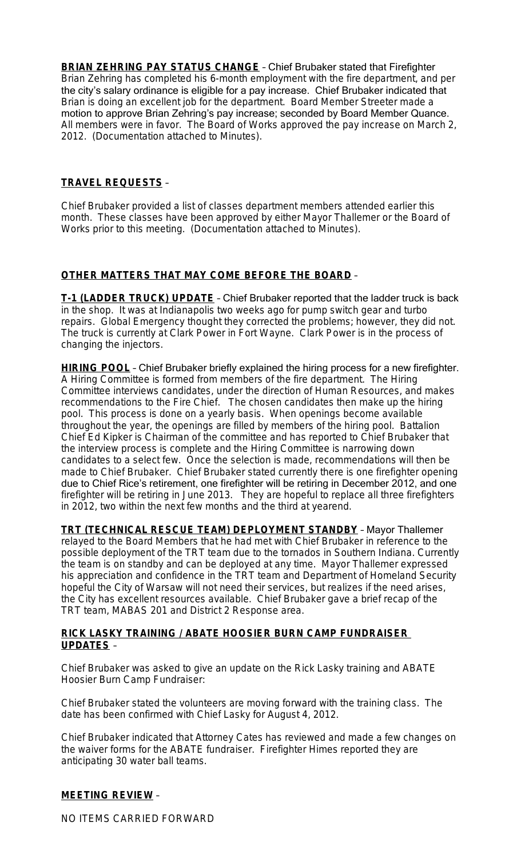**BRIAN ZEHRING PAY STATUS CHANGE** – Chief Brubaker stated that Firefighter Brian Zehring has completed his 6-month employment with the fire department, and per the city's salary ordinance is eligible for a pay increase. Chief Brubaker indicated that Brian is doing an excellent job for the department. Board Member Streeter made a motion to approve Brian Zehring's pay increase; seconded by Board Member Quance. All members were in favor. The Board of Works approved the pay increase on March 2, 2012. (Documentation attached to Minutes).

#### **TRAVEL REQUESTS** –

Chief Brubaker provided a list of classes department members attended earlier this month. These classes have been approved by either Mayor Thallemer or the Board of Works prior to this meeting. (Documentation attached to Minutes).

## **OTHER MATTERS THAT MAY COME BEFORE THE BOARD** –

**T-1 (LADDER TRUCK) UPDATE** – Chief Brubaker reported that the ladder truck is back in the shop. It was at Indianapolis two weeks ago for pump switch gear and turbo repairs. Global Emergency thought they corrected the problems; however, they did not. The truck is currently at Clark Power in Fort Wayne. Clark Power is in the process of changing the injectors.

**HIRING POOL** – Chief Brubaker briefly explained the hiring process for a new firefighter. A Hiring Committee is formed from members of the fire department. The Hiring Committee interviews candidates, under the direction of Human Resources, and makes recommendations to the Fire Chief. The chosen candidates then make up the hiring pool. This process is done on a yearly basis. When openings become available throughout the year, the openings are filled by members of the hiring pool. Battalion Chief Ed Kipker is Chairman of the committee and has reported to Chief Brubaker that the interview process is complete and the Hiring Committee is narrowing down candidates to a select few. Once the selection is made, recommendations will then be made to Chief Brubaker. Chief Brubaker stated currently there is one firefighter opening due to Chief Rice's retirement, one firefighter will be retiring in December 2012, and one firefighter will be retiring in June 2013. They are hopeful to replace all three firefighters in 2012, two within the next few months and the third at yearend.

**TRT (TECHNICAL RESCUE TEAM) DEPLOYMENT STANDBY** – Mayor Thallemer relayed to the Board Members that he had met with Chief Brubaker in reference to the possible deployment of the TRT team due to the tornados in Southern Indiana. Currently the team is on standby and can be deployed at any time. Mayor Thallemer expressed his appreciation and confidence in the TRT team and Department of Homeland Security hopeful the City of Warsaw will not need their services, but realizes if the need arises, the City has excellent resources available. Chief Brubaker gave a brief recap of the TRT team, MABAS 201 and District 2 Response area.

#### **RICK LASKY TRAINING / ABATE HOOSIER BURN CAMP FUNDRAISER UPDATES** –

Chief Brubaker was asked to give an update on the Rick Lasky training and ABATE Hoosier Burn Camp Fundraiser:

Chief Brubaker stated the volunteers are moving forward with the training class. The date has been confirmed with Chief Lasky for August 4, 2012.

Chief Brubaker indicated that Attorney Cates has reviewed and made a few changes on the waiver forms for the ABATE fundraiser. Firefighter Himes reported they are anticipating 30 water ball teams.

## **MEETING REVIEW** –

NO ITEMS CARRIED FORWARD